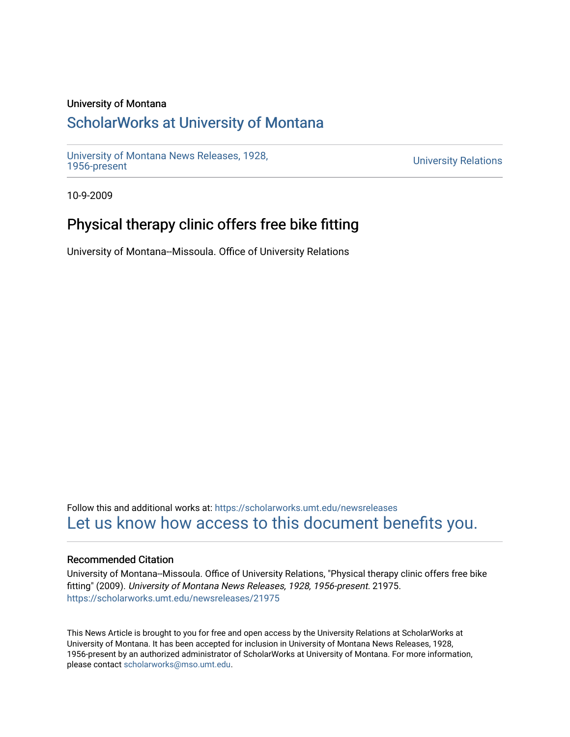## University of Montana

# [ScholarWorks at University of Montana](https://scholarworks.umt.edu/)

[University of Montana News Releases, 1928,](https://scholarworks.umt.edu/newsreleases) 

**University Relations** 

10-9-2009

# Physical therapy clinic offers free bike fitting

University of Montana--Missoula. Office of University Relations

Follow this and additional works at: [https://scholarworks.umt.edu/newsreleases](https://scholarworks.umt.edu/newsreleases?utm_source=scholarworks.umt.edu%2Fnewsreleases%2F21975&utm_medium=PDF&utm_campaign=PDFCoverPages) [Let us know how access to this document benefits you.](https://goo.gl/forms/s2rGfXOLzz71qgsB2) 

### Recommended Citation

University of Montana--Missoula. Office of University Relations, "Physical therapy clinic offers free bike fitting" (2009). University of Montana News Releases, 1928, 1956-present. 21975. [https://scholarworks.umt.edu/newsreleases/21975](https://scholarworks.umt.edu/newsreleases/21975?utm_source=scholarworks.umt.edu%2Fnewsreleases%2F21975&utm_medium=PDF&utm_campaign=PDFCoverPages) 

This News Article is brought to you for free and open access by the University Relations at ScholarWorks at University of Montana. It has been accepted for inclusion in University of Montana News Releases, 1928, 1956-present by an authorized administrator of ScholarWorks at University of Montana. For more information, please contact [scholarworks@mso.umt.edu.](mailto:scholarworks@mso.umt.edu)